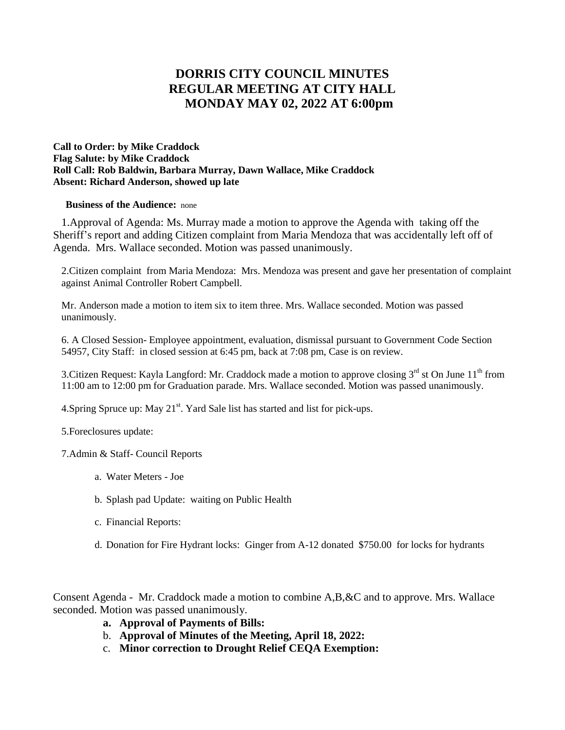## **DORRIS CITY COUNCIL MINUTES REGULAR MEETING AT CITY HALL MONDAY MAY 02, 2022 AT 6:00pm**

**Call to Order: by Mike Craddock Flag Salute: by Mike Craddock Roll Call: Rob Baldwin, Barbara Murray, Dawn Wallace, Mike Craddock Absent: Richard Anderson, showed up late**

## **Business of the Audience:** none

 1.Approval of Agenda: Ms. Murray made a motion to approve the Agenda with taking off the Sheriff's report and adding Citizen complaint from Maria Mendoza that was accidentally left off of Agenda. Mrs. Wallace seconded. Motion was passed unanimously.

2.Citizen complaint from Maria Mendoza: Mrs. Mendoza was present and gave her presentation of complaint against Animal Controller Robert Campbell.

Mr. Anderson made a motion to item six to item three. Mrs. Wallace seconded. Motion was passed unanimously.

6. A Closed Session- Employee appointment, evaluation, dismissal pursuant to Government Code Section 54957, City Staff: in closed session at 6:45 pm, back at 7:08 pm, Case is on review.

3. Citizen Request: Kayla Langford: Mr. Craddock made a motion to approve closing  $3<sup>rd</sup>$  st On June  $11<sup>th</sup>$  from 11:00 am to 12:00 pm for Graduation parade. Mrs. Wallace seconded. Motion was passed unanimously.

4. Spring Spruce up: May  $21<sup>st</sup>$ . Yard Sale list has started and list for pick-ups.

5.Foreclosures update:

7.Admin & Staff- Council Reports

- a. Water Meters Joe
- b. Splash pad Update: waiting on Public Health
- c. Financial Reports:
- d. Donation for Fire Hydrant locks: Ginger from A-12 donated \$750.00 for locks for hydrants

Consent Agenda - Mr. Craddock made a motion to combine A,B,&C and to approve. Mrs. Wallace seconded. Motion was passed unanimously.

- **a. Approval of Payments of Bills:**
- b. **Approval of Minutes of the Meeting, April 18, 2022:**
- c. **Minor correction to Drought Relief CEQA Exemption:**